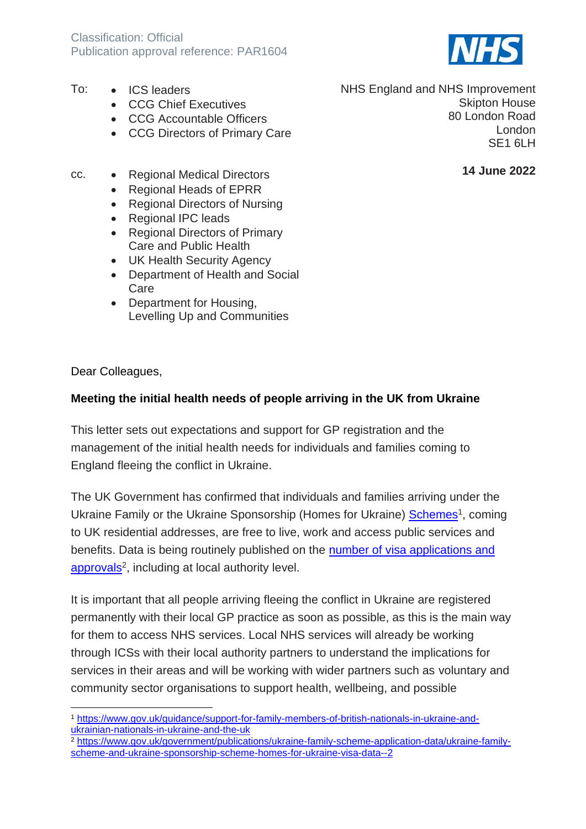

- To: ICS leaders
	- CCG Chief Executives
	- CCG Accountable Officers
	- CCG Directors of Primary Care
- cc. Regional Medical Directors
	- Regional Heads of EPRR
	- Regional Directors of Nursing
	- Regional IPC leads
	- Regional Directors of Primary Care and Public Health
	- UK Health Security Agency
	- Department of Health and Social Care
	- Department for Housing, Levelling Up and Communities

Dear Colleagues,

#### **Meeting the initial health needs of people arriving in the UK from Ukraine**

This letter sets out expectations and support for GP registration and the management of the initial health needs for individuals and families coming to England fleeing the conflict in Ukraine.

The UK Government has confirmed that individuals and families arriving under the Ukraine Family or the Ukraine Sponsorship (Homes for Ukraine) [Schemes](https://www.gov.uk/guidance/support-for-family-members-of-british-nationals-in-ukraine-and-ukrainian-nationals-in-ukraine-and-the-uk)<sup>1</sup>, coming to UK residential addresses, are free to live, work and access public services and benefits. Data is being routinely published on the [number of visa applications and](https://www.gov.uk/government/publications/ukraine-family-scheme-application-data/ukraine-family-scheme-and-ukraine-sponsorship-scheme-homes-for-ukraine-visa-data--2)  [approvals](https://www.gov.uk/government/publications/ukraine-family-scheme-application-data/ukraine-family-scheme-and-ukraine-sponsorship-scheme-homes-for-ukraine-visa-data--2)<sup>2</sup>, including at local authority level.

It is important that all people arriving fleeing the conflict in Ukraine are registered permanently with their local GP practice as soon as possible, as this is the main way for them to access NHS services. Local NHS services will already be working through ICSs with their local authority partners to understand the implications for services in their areas and will be working with wider partners such as voluntary and community sector organisations to support health, wellbeing, and possible

NHS England and NHS Improvement Skipton House 80 London Road London SE1 6LH

**14 June 2022**

<sup>1</sup> [https://www.gov.uk/guidance/support-for-family-members-of-british-nationals-in-ukraine-and](https://www.gov.uk/guidance/support-for-family-members-of-british-nationals-in-ukraine-and-ukrainian-nationals-in-ukraine-and-the-uk)[ukrainian-nationals-in-ukraine-and-the-uk](https://www.gov.uk/guidance/support-for-family-members-of-british-nationals-in-ukraine-and-ukrainian-nationals-in-ukraine-and-the-uk)

<sup>2</sup> [https://www.gov.uk/government/publications/ukraine-family-scheme-application-data/ukraine-family](https://www.gov.uk/government/publications/ukraine-family-scheme-application-data/ukraine-family-scheme-and-ukraine-sponsorship-scheme-homes-for-ukraine-visa-data--2)[scheme-and-ukraine-sponsorship-scheme-homes-for-ukraine-visa-data--2](https://www.gov.uk/government/publications/ukraine-family-scheme-application-data/ukraine-family-scheme-and-ukraine-sponsorship-scheme-homes-for-ukraine-visa-data--2)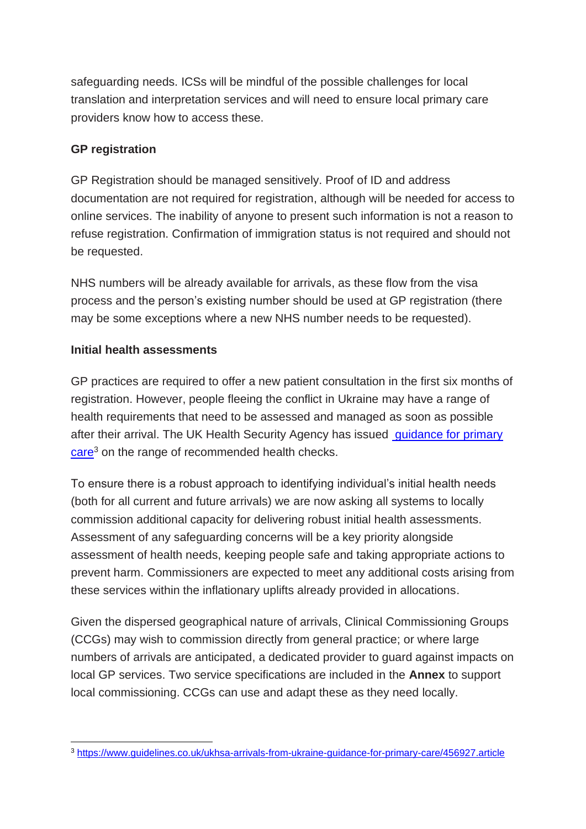safeguarding needs. ICSs will be mindful of the possible challenges for local translation and interpretation services and will need to ensure local primary care providers know how to access these.

# **GP registration**

GP Registration should be managed sensitively. Proof of ID and address documentation are not required for registration, although will be needed for access to online services. The inability of anyone to present such information is not a reason to refuse registration. Confirmation of immigration status is not required and should not be requested.

NHS numbers will be already available for arrivals, as these flow from the visa process and the person's existing number should be used at GP registration (there may be some exceptions where a new NHS number needs to be requested).

#### **Initial health assessments**

GP practices are required to offer a new patient consultation in the first six months of registration. However, people fleeing the conflict in Ukraine may have a range of health requirements that need to be assessed and managed as soon as possible after their arrival. The UK Health Security Agency has issued [guidance for primary](https://www.guidelines.co.uk/ukhsa-arrivals-from-ukraine-guidance-for-primary-care/456927.article)  [care](https://www.guidelines.co.uk/ukhsa-arrivals-from-ukraine-guidance-for-primary-care/456927.article)<sup>3</sup> on the range of recommended health checks.

To ensure there is a robust approach to identifying individual's initial health needs (both for all current and future arrivals) we are now asking all systems to locally commission additional capacity for delivering robust initial health assessments. Assessment of any safeguarding concerns will be a key priority alongside assessment of health needs, keeping people safe and taking appropriate actions to prevent harm. Commissioners are expected to meet any additional costs arising from these services within the inflationary uplifts already provided in allocations.

Given the dispersed geographical nature of arrivals, Clinical Commissioning Groups (CCGs) may wish to commission directly from general practice; or where large numbers of arrivals are anticipated, a dedicated provider to guard against impacts on local GP services. Two service specifications are included in the **Annex** to support local commissioning. CCGs can use and adapt these as they need locally.

<sup>3</sup> <https://www.guidelines.co.uk/ukhsa-arrivals-from-ukraine-guidance-for-primary-care/456927.article>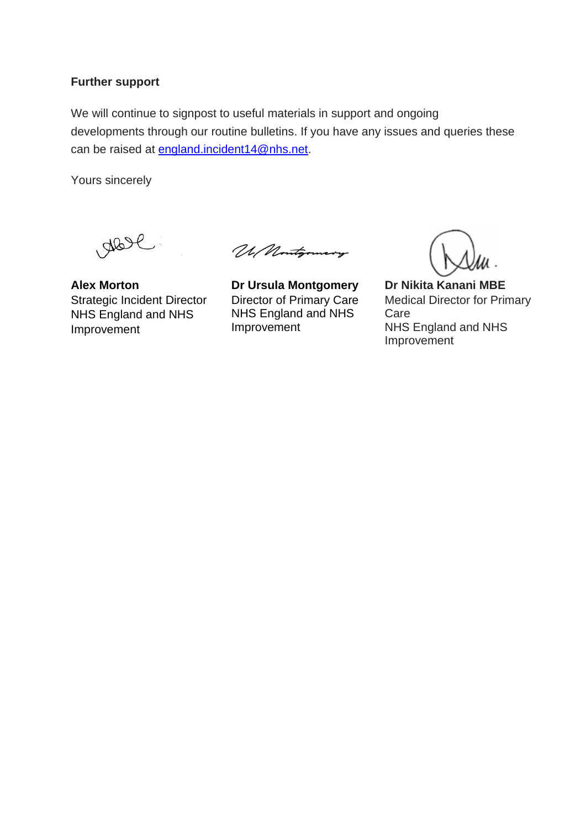#### **Further support**

We will continue to signpost to useful materials in support and ongoing developments through our routine bulletins. If you have any issues and queries these can be raised at [england.incident14@nhs.net.](mailto:england.incident14@nhs.net)

Yours sincerely

**Alex Morton Dr Ursula Montgomery Dr Nikita Kanani MBE** Strategic Incident Director NHS England and NHS Improvement

Ul Nontgomery

Director of Primary Care NHS England and NHS Improvement

Medical Director for Primary Care NHS England and NHS Improvement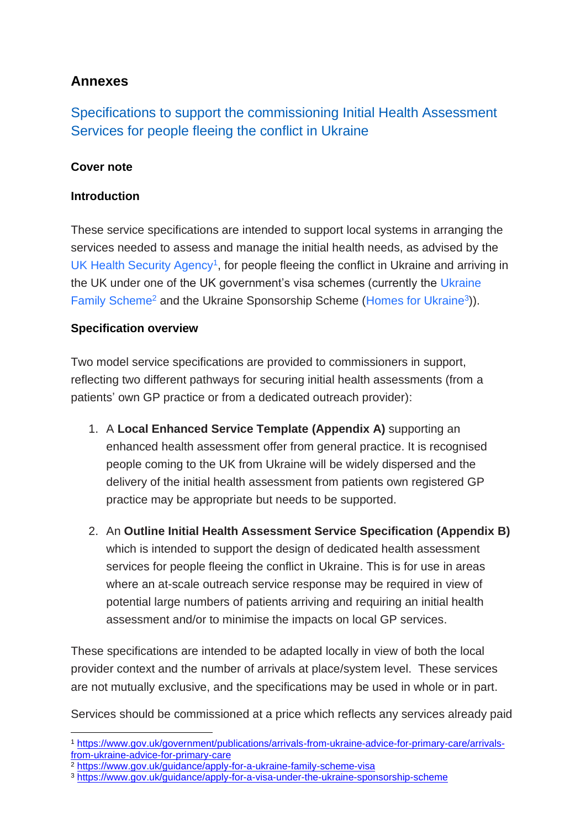# **Annexes**

Specifications to support the commissioning Initial Health Assessment Services for people fleeing the conflict in Ukraine

# **Cover note**

#### **Introduction**

These service specifications are intended to support local systems in arranging the services needed to assess and manage the initial health needs, as advised by the [UK Health Security Agency](https://www.gov.uk/government/publications/arrivals-from-ukraine-advice-for-primary-care/arrivals-from-ukraine-advice-for-primary-care)<sup>1</sup>, for people fleeing the conflict in Ukraine and arriving in the UK under one of the UK government's visa schemes (currently the [Ukraine](file://///ims.gov.uk/HomeDrive/Users/SStephenson/Data/Desktop/(fleeing%20the%20conflict%20in%20Ukraine%20and%20arriving%20in%20the%20UK%20under%20one%20of%20the%20UK%20government’s%20visa%20schemes)  [Family Scheme](file://///ims.gov.uk/HomeDrive/Users/SStephenson/Data/Desktop/(fleeing%20the%20conflict%20in%20Ukraine%20and%20arriving%20in%20the%20UK%20under%20one%20of%20the%20UK%20government’s%20visa%20schemes)<sup>2</sup> and the Ukraine Sponsorship Scheme [\(Homes for Ukraine](https://www.gov.uk/register-interest-homes-ukraine)<sup>3</sup>)).

#### **Specification overview**

Two model service specifications are provided to commissioners in support, reflecting two different pathways for securing initial health assessments (from a patients' own GP practice or from a dedicated outreach provider):

- 1. A **Local Enhanced Service Template (Appendix A)** supporting an enhanced health assessment offer from general practice. It is recognised people coming to the UK from Ukraine will be widely dispersed and the delivery of the initial health assessment from patients own registered GP practice may be appropriate but needs to be supported.
- 2. An **Outline Initial Health Assessment Service Specification (Appendix B)** which is intended to support the design of dedicated health assessment services for people fleeing the conflict in Ukraine. This is for use in areas where an at-scale outreach service response may be required in view of potential large numbers of patients arriving and requiring an initial health assessment and/or to minimise the impacts on local GP services.

These specifications are intended to be adapted locally in view of both the local provider context and the number of arrivals at place/system level. These services are not mutually exclusive, and the specifications may be used in whole or in part.

Services should be commissioned at a price which reflects any services already paid

<sup>1</sup> [https://www.gov.uk/government/publications/arrivals-from-ukraine-advice-for-primary-care/arrivals](https://www.gov.uk/government/publications/arrivals-from-ukraine-advice-for-primary-care/arrivals-from-ukraine-advice-for-primary-care)[from-ukraine-advice-for-primary-care](https://www.gov.uk/government/publications/arrivals-from-ukraine-advice-for-primary-care/arrivals-from-ukraine-advice-for-primary-care)

<sup>2</sup> <https://www.gov.uk/guidance/apply-for-a-ukraine-family-scheme-visa>

<sup>3</sup> <https://www.gov.uk/guidance/apply-for-a-visa-under-the-ukraine-sponsorship-scheme>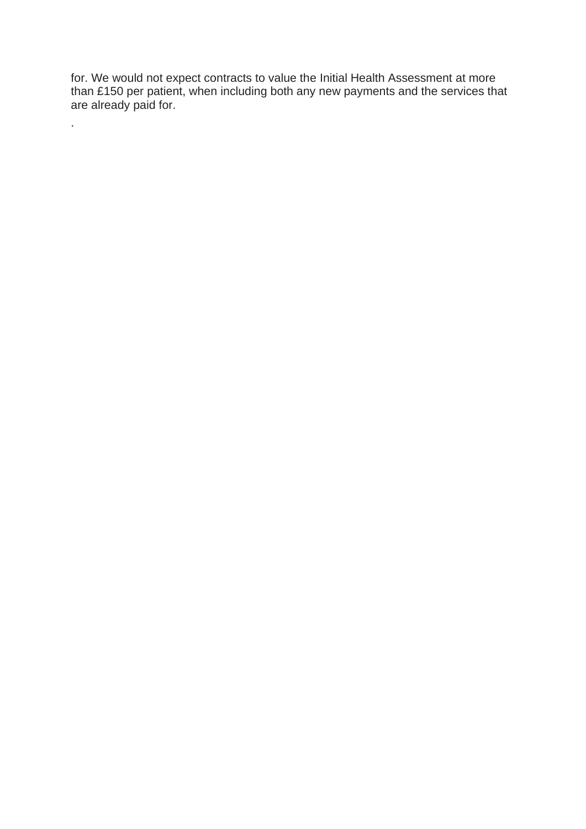for. We would not expect contracts to value the Initial Health Assessment at more than £150 per patient, when including both any new payments and the services that are already paid for.

.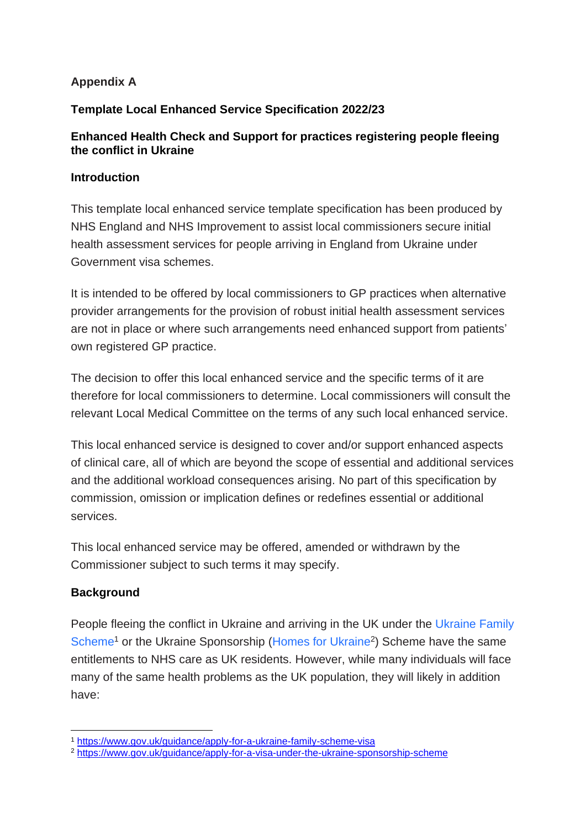#### **Appendix A**

#### **Template Local Enhanced Service Specification 2022/23**

#### **Enhanced Health Check and Support for practices registering people fleeing the conflict in Ukraine**

#### **Introduction**

This template local enhanced service template specification has been produced by NHS England and NHS Improvement to assist local commissioners secure initial health assessment services for people arriving in England from Ukraine under Government visa schemes.

It is intended to be offered by local commissioners to GP practices when alternative provider arrangements for the provision of robust initial health assessment services are not in place or where such arrangements need enhanced support from patients' own registered GP practice.

The decision to offer this local enhanced service and the specific terms of it are therefore for local commissioners to determine. Local commissioners will consult the relevant Local Medical Committee on the terms of any such local enhanced service.

This local enhanced service is designed to cover and/or support enhanced aspects of clinical care, all of which are beyond the scope of essential and additional services and the additional workload consequences arising. No part of this specification by commission, omission or implication defines or redefines essential or additional services.

This local enhanced service may be offered, amended or withdrawn by the Commissioner subject to such terms it may specify.

#### **Background**

People fleeing the conflict in Ukraine and arriving in the UK under the [Ukraine Family](https://www.gov.uk/guidance/apply-for-a-ukraine-family-scheme-visa)  [Scheme](https://www.gov.uk/guidance/apply-for-a-ukraine-family-scheme-visa)<sup>1</sup> or the Ukraine Sponsorship [\(Homes for Ukraine](https://www.gov.uk/guidance/apply-for-a-visa-under-the-ukraine-sponsorship-scheme)<sup>2</sup>) Scheme have the same entitlements to NHS care as UK residents. However, while many individuals will face many of the same health problems as the UK population, they will likely in addition have:

<sup>1</sup> <https://www.gov.uk/guidance/apply-for-a-ukraine-family-scheme-visa>

<sup>2</sup> <https://www.gov.uk/guidance/apply-for-a-visa-under-the-ukraine-sponsorship-scheme>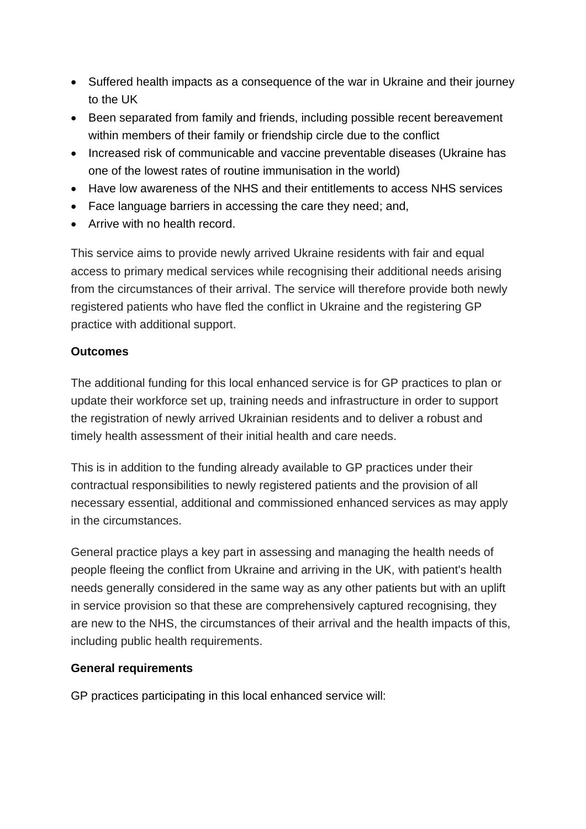- Suffered health impacts as a consequence of the war in Ukraine and their journey to the UK
- Been separated from family and friends, including possible recent bereavement within members of their family or friendship circle due to the conflict
- Increased risk of communicable and vaccine preventable diseases (Ukraine has one of the lowest rates of routine immunisation in the world)
- Have low awareness of the NHS and their entitlements to access NHS services
- Face language barriers in accessing the care they need; and,
- Arrive with no health record.

This service aims to provide newly arrived Ukraine residents with fair and equal access to primary medical services while recognising their additional needs arising from the circumstances of their arrival. The service will therefore provide both newly registered patients who have fled the conflict in Ukraine and the registering GP practice with additional support.

# **Outcomes**

The additional funding for this local enhanced service is for GP practices to plan or update their workforce set up, training needs and infrastructure in order to support the registration of newly arrived Ukrainian residents and to deliver a robust and timely health assessment of their initial health and care needs.

This is in addition to the funding already available to GP practices under their contractual responsibilities to newly registered patients and the provision of all necessary essential, additional and commissioned enhanced services as may apply in the circumstances.

General practice plays a key part in assessing and managing the health needs of people fleeing the conflict from Ukraine and arriving in the UK, with patient's health needs generally considered in the same way as any other patients but with an uplift in service provision so that these are comprehensively captured recognising, they are new to the NHS, the circumstances of their arrival and the health impacts of this, including public health requirements.

# **General requirements**

GP practices participating in this local enhanced service will: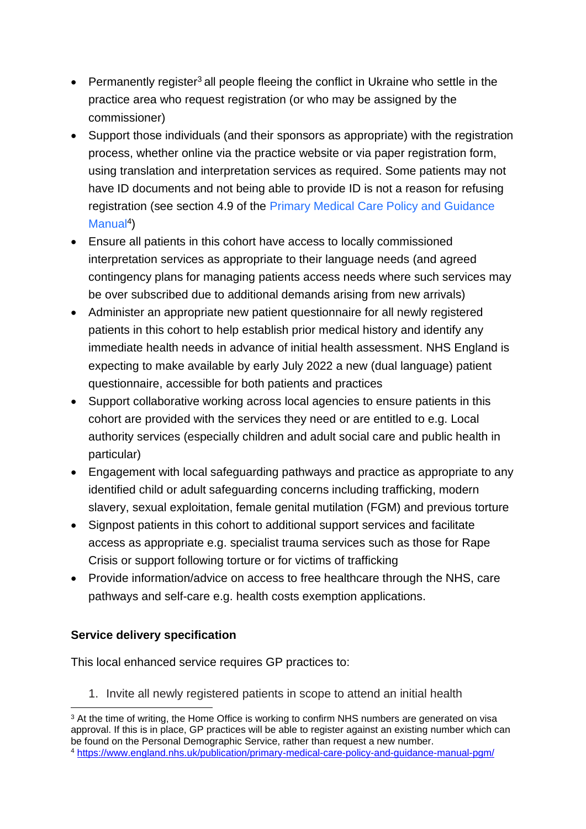- Permanently register<sup>3</sup> all people fleeing the conflict in Ukraine who settle in the practice area who request registration (or who may be assigned by the commissioner)
- Support those individuals (and their sponsors as appropriate) with the registration process, whether online via the practice website or via paper registration form, using translation and interpretation services as required. Some patients may not have ID documents and not being able to provide ID is not a reason for refusing registration (see section 4.9 of the [Primary Medical Care Policy and Guidance](https://www.england.nhs.uk/publication/primary-medical-care-policy-and-guidance-manual-pgm/)  [Manual](https://www.england.nhs.uk/publication/primary-medical-care-policy-and-guidance-manual-pgm/)<sup>4</sup>)
- Ensure all patients in this cohort have access to locally commissioned interpretation services as appropriate to their language needs (and agreed contingency plans for managing patients access needs where such services may be over subscribed due to additional demands arising from new arrivals)
- Administer an appropriate new patient questionnaire for all newly registered patients in this cohort to help establish prior medical history and identify any immediate health needs in advance of initial health assessment. NHS England is expecting to make available by early July 2022 a new (dual language) patient questionnaire, accessible for both patients and practices
- Support collaborative working across local agencies to ensure patients in this cohort are provided with the services they need or are entitled to e.g. Local authority services (especially children and adult social care and public health in particular)
- Engagement with local safeguarding pathways and practice as appropriate to any identified child or adult safeguarding concerns including trafficking, modern slavery, sexual exploitation, female genital mutilation (FGM) and previous torture
- Signpost patients in this cohort to additional support services and facilitate access as appropriate e.g. specialist trauma services such as those for Rape Crisis or support following torture or for victims of trafficking
- Provide information/advice on access to free healthcare through the NHS, care pathways and self-care e.g. health costs exemption applications.

# **Service delivery specification**

This local enhanced service requires GP practices to:

1. Invite all newly registered patients in scope to attend an initial health

<sup>&</sup>lt;sup>3</sup> At the time of writing, the Home Office is working to confirm NHS numbers are generated on visa approval. If this is in place, GP practices will be able to register against an existing number which can be found on the Personal Demographic Service, rather than request a new number. <sup>4</sup> <https://www.england.nhs.uk/publication/primary-medical-care-policy-and-guidance-manual-pgm/>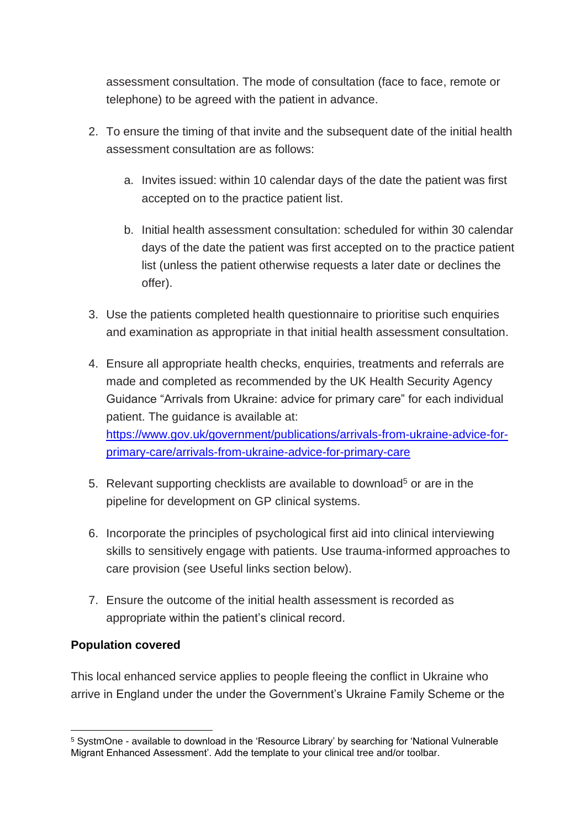assessment consultation. The mode of consultation (face to face, remote or telephone) to be agreed with the patient in advance.

- 2. To ensure the timing of that invite and the subsequent date of the initial health assessment consultation are as follows:
	- a. Invites issued: within 10 calendar days of the date the patient was first accepted on to the practice patient list.
	- b. Initial health assessment consultation: scheduled for within 30 calendar days of the date the patient was first accepted on to the practice patient list (unless the patient otherwise requests a later date or declines the offer).
- 3. Use the patients completed health questionnaire to prioritise such enquiries and examination as appropriate in that initial health assessment consultation.
- 4. Ensure all appropriate health checks, enquiries, treatments and referrals are made and completed as recommended by the UK Health Security Agency Guidance "Arrivals from Ukraine: advice for primary care" for each individual patient. The guidance is available at: [https://www.gov.uk/government/publications/arrivals-from-ukraine-advice-for](https://www.gov.uk/government/publications/arrivals-from-ukraine-advice-for-primary-care/arrivals-from-ukraine-advice-for-primary-care)[primary-care/arrivals-from-ukraine-advice-for-primary-care](https://www.gov.uk/government/publications/arrivals-from-ukraine-advice-for-primary-care/arrivals-from-ukraine-advice-for-primary-care)
- 5. Relevant supporting checklists are available to download<sup>5</sup> or are in the pipeline for development on GP clinical systems.
- 6. Incorporate the principles of [psychological first aid](https://www.who.int/publications/i/item/psychological-first-aid) into clinical interviewing skills to sensitively engage with patients. Use trauma-informed approaches to care provision (see Useful links section below).
- 7. Ensure the outcome of the initial health assessment is recorded as appropriate within the patient's clinical record.

#### **Population covered**

This local enhanced service applies to people fleeing the conflict in Ukraine who arrive in England under the under the Government's Ukraine Family Scheme or the

<sup>5</sup> SystmOne - available to download in the 'Resource Library' by searching for 'National Vulnerable Migrant Enhanced Assessment'. Add the template to your clinical tree and/or toolbar.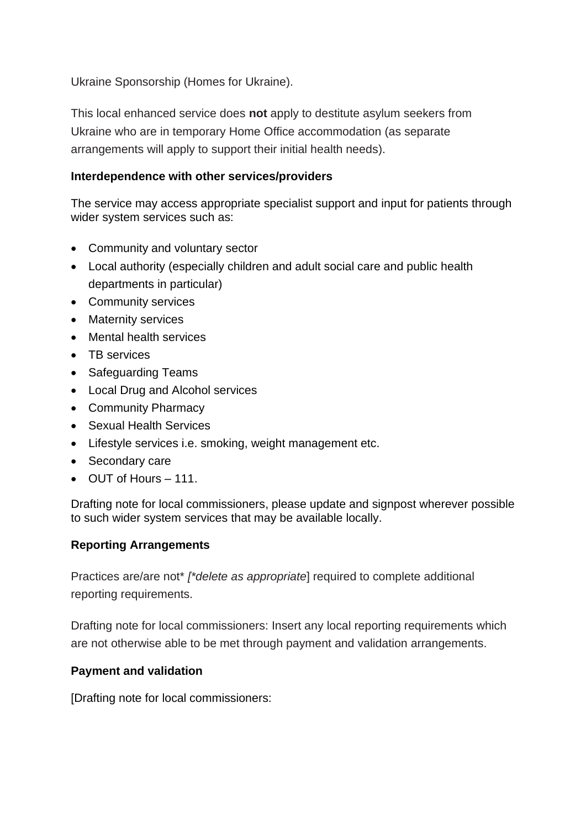Ukraine Sponsorship (Homes for Ukraine).

This local enhanced service does **not** apply to destitute asylum seekers from Ukraine who are in temporary Home Office accommodation (as separate arrangements will apply to support their initial health needs).

#### **Interdependence with other services/providers**

The service may access appropriate specialist support and input for patients through wider system services such as:

- Community and voluntary sector
- Local authority (especially children and adult social care and public health departments in particular)
- Community services
- Maternity services
- Mental health services
- TB services
- Safeguarding Teams
- Local Drug and Alcohol services
- Community Pharmacy
- Sexual Health Services
- Lifestyle services i.e. smoking, weight management etc.
- Secondary care
- OUT of Hours 111.

Drafting note for local commissioners, please update and signpost wherever possible to such wider system services that may be available locally.

#### **Reporting Arrangements**

Practices are/are not\* *[\*delete as appropriate*] required to complete additional reporting requirements.

Drafting note for local commissioners: Insert any local reporting requirements which are not otherwise able to be met through payment and validation arrangements.

#### **Payment and validation**

[Drafting note for local commissioners: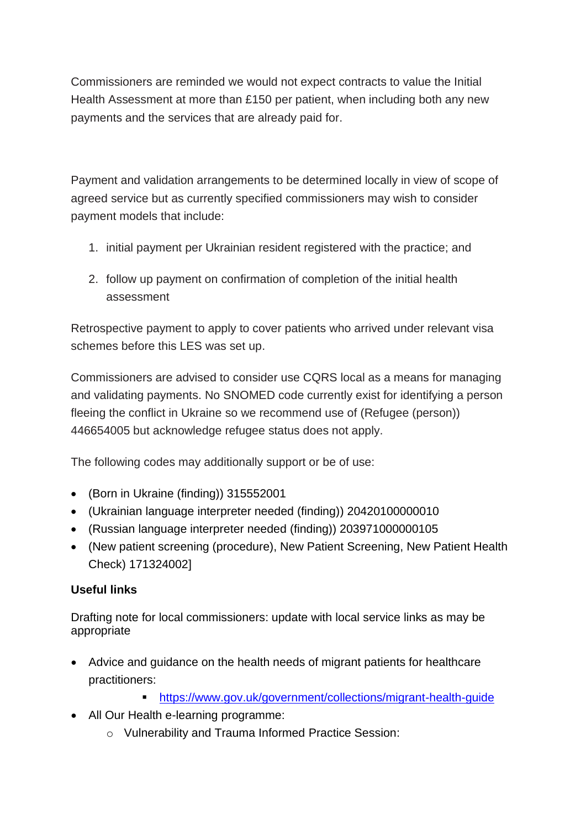Commissioners are reminded we would not expect contracts to value the Initial Health Assessment at more than £150 per patient, when including both any new payments and the services that are already paid for.

Payment and validation arrangements to be determined locally in view of scope of agreed service but as currently specified commissioners may wish to consider payment models that include:

- 1. initial payment per Ukrainian resident registered with the practice; and
- 2. follow up payment on confirmation of completion of the initial health assessment

Retrospective payment to apply to cover patients who arrived under relevant visa schemes before this LES was set up.

Commissioners are advised to consider use CQRS local as a means for managing and validating payments. No SNOMED code currently exist for identifying a person fleeing the conflict in Ukraine so we recommend use of (Refugee (person)) 446654005 but acknowledge refugee status does not apply.

The following codes may additionally support or be of use:

- (Born in Ukraine (finding)) 315552001
- (Ukrainian language interpreter needed (finding)) 20420100000010
- (Russian language interpreter needed (finding)) 203971000000105
- (New patient screening (procedure), New Patient Screening, New Patient Health Check) 171324002]

# **Useful links**

Drafting note for local commissioners: update with local service links as may be appropriate

- Advice and guidance on the health needs of migrant patients for healthcare practitioners:
	- <https://www.gov.uk/government/collections/migrant-health-guide>
- All Our Health e-learning programme:
	- o Vulnerability and Trauma Informed Practice Session: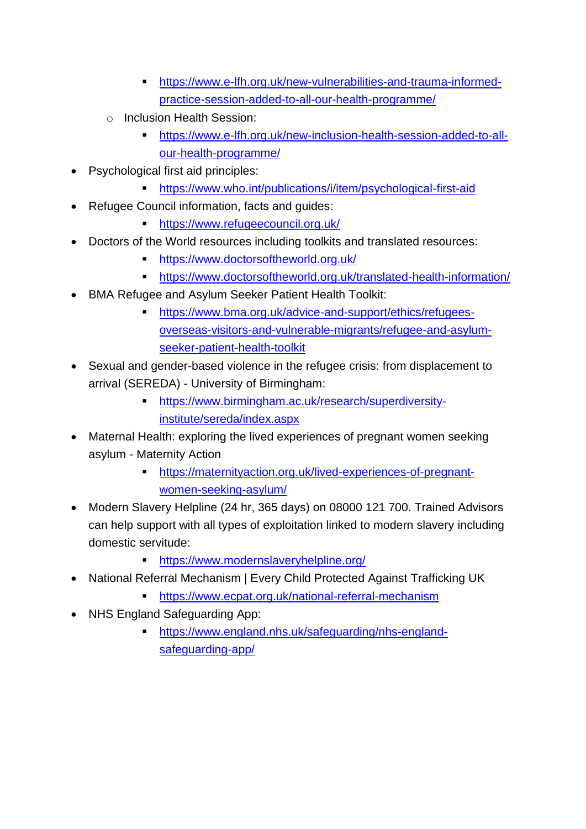- [https://www.e-lfh.org.uk/new-vulnerabilities-and-trauma-informed](https://www.e-lfh.org.uk/new-vulnerabilities-and-trauma-informed-practice-session-added-to-all-our-health-programme/)[practice-session-added-to-all-our-health-programme/](https://www.e-lfh.org.uk/new-vulnerabilities-and-trauma-informed-practice-session-added-to-all-our-health-programme/)
- o Inclusion Health Session:
	- [https://www.e-lfh.org.uk/new-inclusion-health-session-added-to-all](https://www.e-lfh.org.uk/new-inclusion-health-session-added-to-all-our-health-programme/)[our-health-programme/](https://www.e-lfh.org.uk/new-inclusion-health-session-added-to-all-our-health-programme/)
- Psychological first aid principles:
	- <https://www.who.int/publications/i/item/psychological-first-aid>
- Refugee Council information, facts and guides:
	- <https://www.refugeecouncil.org.uk/>
- Doctors of the World resources including toolkits and translated resources:
	- <https://www.doctorsoftheworld.org.uk/>
	- <https://www.doctorsoftheworld.org.uk/translated-health-information/>
- BMA Refugee and Asylum Seeker Patient Health Toolkit:
	- [https://www.bma.org.uk/advice-and-support/ethics/refugees](https://www.bma.org.uk/advice-and-support/ethics/refugees-overseas-visitors-and-vulnerable-migrants/refugee-and-asylum-seeker-patient-health-toolkit)[overseas-visitors-and-vulnerable-migrants/refugee-and-asylum](https://www.bma.org.uk/advice-and-support/ethics/refugees-overseas-visitors-and-vulnerable-migrants/refugee-and-asylum-seeker-patient-health-toolkit)[seeker-patient-health-toolkit](https://www.bma.org.uk/advice-and-support/ethics/refugees-overseas-visitors-and-vulnerable-migrants/refugee-and-asylum-seeker-patient-health-toolkit)
- Sexual and gender-based [violence in the refugee crisis: from displacement to](https://www.birmingham.ac.uk/research/superdiversity-institute/sereda/index.aspx)  arrival (SEREDA) - [University of Birmingham:](https://www.birmingham.ac.uk/research/superdiversity-institute/sereda/index.aspx)
	- [https://www.birmingham.ac.uk/research/superdiversity](https://www.birmingham.ac.uk/research/superdiversity-institute/sereda/index.aspx)[institute/sereda/index.aspx](https://www.birmingham.ac.uk/research/superdiversity-institute/sereda/index.aspx)
- [Maternal Health: exploring the lived experiences of pregnant women seeking](https://maternityaction.org.uk/lived-experiences-of-pregnant-women-seeking-asylum/)  asylum - [Maternity Action](https://maternityaction.org.uk/lived-experiences-of-pregnant-women-seeking-asylum/)
	- [https://maternityaction.org.uk/lived-experiences-of-pregnant](https://maternityaction.org.uk/lived-experiences-of-pregnant-women-seeking-asylum/)[women-seeking-asylum/](https://maternityaction.org.uk/lived-experiences-of-pregnant-women-seeking-asylum/)
- Modern Slavery Helpline (24 hr, 365 days) on 08000 121 700. Trained Advisors can help support with all types of exploitation linked to modern slavery including domestic servitude:
	- <https://www.modernslaveryhelpline.org/>
- National Referral Mechanism | Every Child Protected Against Trafficking UK
	- <https://www.ecpat.org.uk/national-referral-mechanism>
- NHS England Safeguarding App:
	- https://www.england.nhs.uk/safeguarding/nhs-englandsafeguarding-app/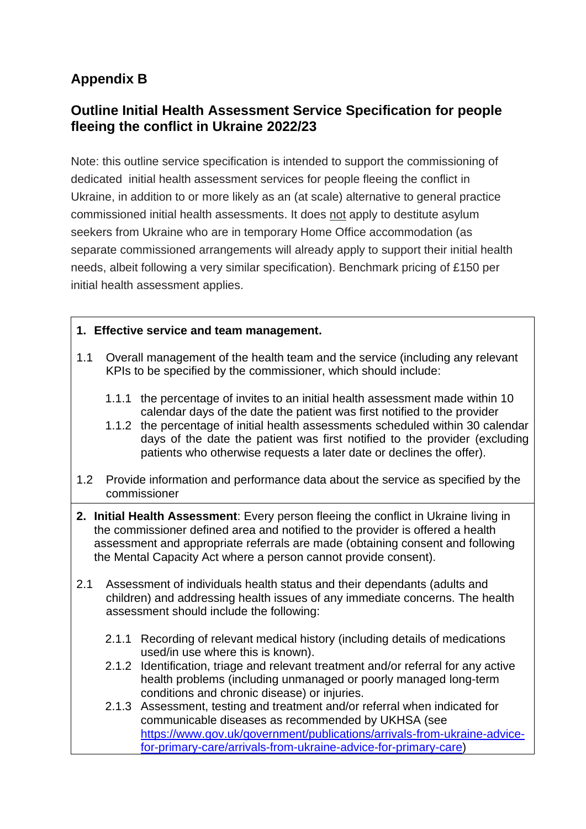# **Appendix B**

# **Outline Initial Health Assessment Service Specification for people fleeing the conflict in Ukraine 2022/23**

Note: this outline service specification is intended to support the commissioning of dedicated initial health assessment services for people fleeing the conflict in Ukraine, in addition to or more likely as an (at scale) alternative to general practice commissioned initial health assessments. It does not apply to destitute asylum seekers from Ukraine who are in temporary Home Office accommodation (as separate commissioned arrangements will already apply to support their initial health needs, albeit following a very similar specification). Benchmark pricing of £150 per initial health assessment applies.

#### **1. Effective service and team management.**

- 1.1 Overall management of the health team and the service (including any relevant KPIs to be specified by the commissioner, which should include:
	- 1.1.1 the percentage of invites to an initial health assessment made within 10 calendar days of the date the patient was first notified to the provider
	- 1.1.2 the percentage of initial health assessments scheduled within 30 calendar days of the date the patient was first notified to the provider (excluding patients who otherwise requests a later date or declines the offer).
- 1.2 Provide information and performance data about the service as specified by the commissioner
- **2. Initial Health Assessment**: Every person fleeing the conflict in Ukraine living in the commissioner defined area and notified to the provider is offered a health assessment and appropriate referrals are made (obtaining consent and following the Mental Capacity Act where a person cannot provide consent).
- 2.1 Assessment of individuals health status and their dependants (adults and children) and addressing health issues of any immediate concerns. The health assessment should include the following:
	- 2.1.1 Recording of relevant medical history (including details of medications used/in use where this is known).
	- 2.1.2 Identification, triage and relevant treatment and/or referral for any active health problems (including unmanaged or poorly managed long-term conditions and chronic disease) or injuries.
	- 2.1.3 Assessment, testing and treatment and/or referral when indicated for communicable diseases as recommended by UKHSA (see [https://www.gov.uk/government/publications/arrivals-from-ukraine-advice](https://www.gov.uk/government/publications/arrivals-from-ukraine-advice-for-primary-care/arrivals-from-ukraine-advice-for-primary-care)[for-primary-care/arrivals-from-ukraine-advice-for-primary-care\)](https://www.gov.uk/government/publications/arrivals-from-ukraine-advice-for-primary-care/arrivals-from-ukraine-advice-for-primary-care)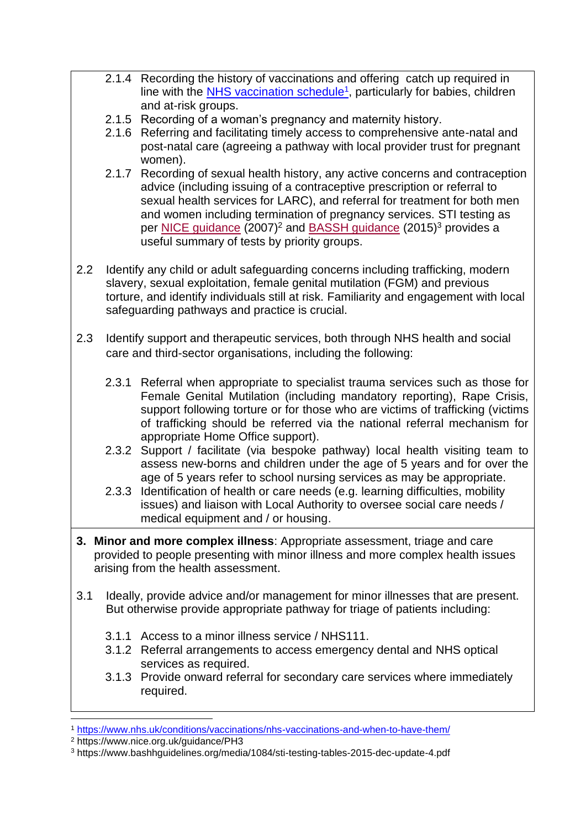- 2.1.4 Recording the history of vaccinations and offering catch up required in line with the **NHS vaccination schedule<sup>1</sup>**, particularly for babies, children and at-risk groups.
- 2.1.5 Recording of a woman's pregnancy and maternity history.
- 2.1.6 Referring and facilitating timely access to comprehensive ante-natal and post-natal care (agreeing a pathway with local provider trust for pregnant women).
- 2.1.7 Recording of sexual health history, any active concerns and contraception advice (including issuing of a contraceptive prescription or referral to sexual health services for LARC), and referral for treatment for both men and women including termination of pregnancy services. STI testing as per [NICE guidance](https://www.nice.org.uk/guidance/PH3) (2007)<sup>2</sup> and [BASSH guidance](https://www.bashhguidelines.org/media/1084/sti-testing-tables-2015-dec-update-4.pdf) (2015)<sup>3</sup> provides a useful summary of tests by priority groups.
- 2.2 Identify any child or adult safeguarding concerns including trafficking, modern slavery, sexual exploitation, female genital mutilation (FGM) and previous torture, and identify individuals still at risk. Familiarity and engagement with local safeguarding pathways and practice is crucial.
- 2.3 Identify support and therapeutic services, both through NHS health and social care and third-sector organisations, including the following:
	- 2.3.1 Referral when appropriate to specialist trauma services such as those for Female Genital Mutilation (including mandatory reporting), Rape Crisis, support following torture or for those who are victims of trafficking (victims of trafficking should be referred via the national referral mechanism for appropriate Home Office support).
	- 2.3.2 Support / facilitate (via bespoke pathway) local health visiting team to assess new-borns and children under the age of 5 years and for over the age of 5 years refer to school nursing services as may be appropriate.
	- 2.3.3 Identification of health or care needs (e.g. learning difficulties, mobility issues) and liaison with Local Authority to oversee social care needs / medical equipment and / or housing.
- **3. Minor and more complex illness**: Appropriate assessment, triage and care provided to people presenting with minor illness and more complex health issues arising from the health assessment.
- 3.1 Ideally, provide advice and/or management for minor illnesses that are present. But otherwise provide appropriate pathway for triage of patients including:
	- 3.1.1 Access to a minor illness service / NHS111.
	- 3.1.2 Referral arrangements to access emergency dental and NHS optical services as required.
	- 3.1.3 Provide onward referral for secondary care services where immediately required.

<sup>1</sup> <https://www.nhs.uk/conditions/vaccinations/nhs-vaccinations-and-when-to-have-them/>

<sup>2</sup> https://www.nice.org.uk/guidance/PH3

<sup>3</sup> https://www.bashhguidelines.org/media/1084/sti-testing-tables-2015-dec-update-4.pdf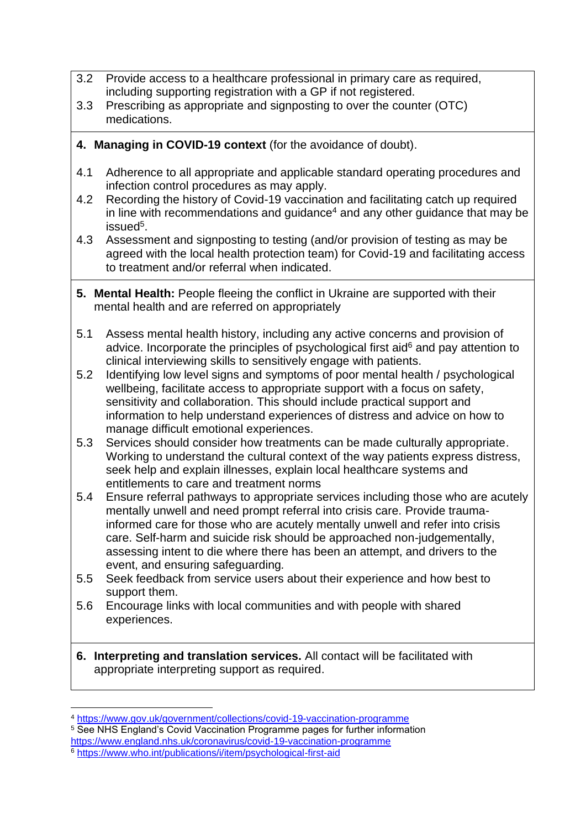- 3.2 Provide access to a healthcare professional in primary care as required, including supporting registration with a GP if not registered.
- 3.3 Prescribing as appropriate and signposting to over the counter (OTC) medications.
- **4. Managing in COVID-19 context** (for the avoidance of doubt).
- 4.1 Adherence to all appropriate and applicable standard operating procedures and infection control procedures as may apply.
- 4.2 Recording the history of Covid-19 vaccination and facilitating catch up required in line with recommendations and quidance<sup>4</sup> and any other quidance that may be issued<sup>5</sup>.
- 4.3 Assessment and signposting to testing (and/or provision of testing as may be agreed with the local health protection team) for Covid-19 and facilitating access to treatment and/or referral when indicated.
- **5. Mental Health:** People fleeing the conflict in Ukraine are supported with their mental health and are referred on appropriately
- 5.1 Assess mental health history, including any active concerns and provision of advice. Incorporate the principles of [psychological first aid](https://www.who.int/publications/i/item/psychological-first-aid) $6$  and pay attention to clinical interviewing skills to sensitively engage with patients.
- 5.2 Identifying low level signs and symptoms of poor mental health / psychological wellbeing, facilitate access to appropriate support with a focus on safety, sensitivity and collaboration. This should include practical support and information to help understand experiences of distress and advice on how to manage difficult emotional experiences.
- 5.3 Services should consider how treatments can be made culturally appropriate. Working to understand the cultural context of the way patients express distress, seek help and explain illnesses, explain local healthcare systems and entitlements to care and treatment norms
- 5.4 Ensure referral pathways to appropriate services including those who are acutely mentally unwell and need prompt referral into crisis care. Provide traumainformed care for those who are acutely mentally unwell and refer into crisis care. Self-harm and suicide risk should be approached non-judgementally, assessing intent to die where there has been an attempt, and drivers to the event, and ensuring safeguarding*.*
- 5.5 Seek feedback from service users about their experience and how best to support them.
- 5.6 Encourage links with local communities and with people with shared experiences.
- **6. Interpreting and translation services.** All contact will be facilitated with appropriate interpreting support as required.

<sup>5</sup> See NHS England's Covid Vaccination Programme pages for further information

<sup>4</sup> <https://www.gov.uk/government/collections/covid-19-vaccination-programme>

<https://www.england.nhs.uk/coronavirus/covid-19-vaccination-programme>

<sup>6</sup> <https://www.who.int/publications/i/item/psychological-first-aid>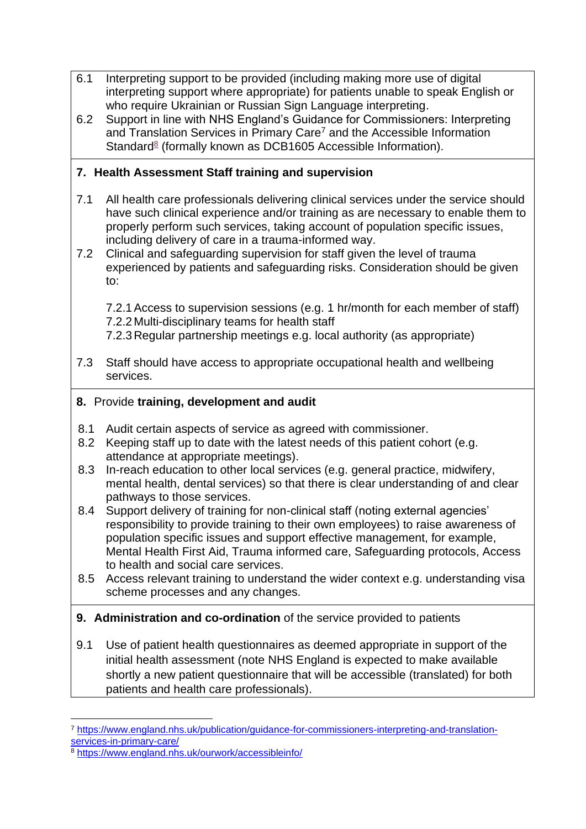- 6.1 Interpreting support to be provided (including making more use of digital interpreting support where appropriate) for patients unable to speak English or who require Ukrainian or Russian Sign Language interpreting.
- 6.2 Support in line with [NHS England's Guidance for Commissioners: Interpreting](https://www.england.nhs.uk/publication/guidance-for-commissioners-interpreting-and-translation-services-in-primary-care/)  [and Translation Services in Primary Care](https://www.england.nhs.uk/publication/guidance-for-commissioners-interpreting-and-translation-services-in-primary-care/)<sup>7</sup> and the [Accessible Information](https://www.england.nhs.uk/ourwork/accessibleinfo/)  [Standard](https://www.england.nhs.uk/ourwork/accessibleinfo/)<sup>8</sup> (formally known as DCB1605 Accessible Information).

# **7. Health Assessment Staff training and supervision**

- 7.1 All health care professionals delivering clinical services under the service should have such clinical experience and/or training as are necessary to enable them to properly perform such services, taking account of population specific issues, including delivery of care in a trauma-informed way.
- 7.2 Clinical and safeguarding supervision for staff given the level of trauma experienced by patients and safeguarding risks. Consideration should be given to:

7.2.1Access to supervision sessions (e.g. 1 hr/month for each member of staff) 7.2.2Multi-disciplinary teams for health staff

7.2.3Regular partnership meetings e.g. local authority (as appropriate)

- 7.3 Staff should have access to appropriate occupational health and wellbeing services.
- **8.** Provide **training, development and audit**
- 8.1 Audit certain aspects of service as agreed with commissioner.
- 8.2 Keeping staff up to date with the latest needs of this patient cohort (e.g. attendance at appropriate meetings).
- 8.3 In-reach education to other local services (e.g. general practice, midwifery, mental health, dental services) so that there is clear understanding of and clear pathways to those services.
- 8.4 Support delivery of training for non-clinical staff (noting external agencies' responsibility to provide training to their own employees) to raise awareness of population specific issues and support effective management, for example, Mental Health First Aid, Trauma informed care, Safeguarding protocols, Access to health and social care services.
- 8.5 Access relevant training to understand the wider context e.g. understanding visa scheme processes and any changes.

# **9. Administration and co-ordination** of the service provided to patients

9.1 Use of patient health questionnaires as deemed appropriate in support of the initial health assessment (note NHS England is expected to make available shortly a new patient questionnaire that will be accessible (translated) for both patients and health care professionals).

<sup>7</sup> [https://www.england.nhs.uk/publication/guidance-for-commissioners-interpreting-and-translation](https://www.england.nhs.uk/publication/guidance-for-commissioners-interpreting-and-translation-services-in-primary-care/)[services-in-primary-care/](https://www.england.nhs.uk/publication/guidance-for-commissioners-interpreting-and-translation-services-in-primary-care/)

<sup>8</sup> <https://www.england.nhs.uk/ourwork/accessibleinfo/>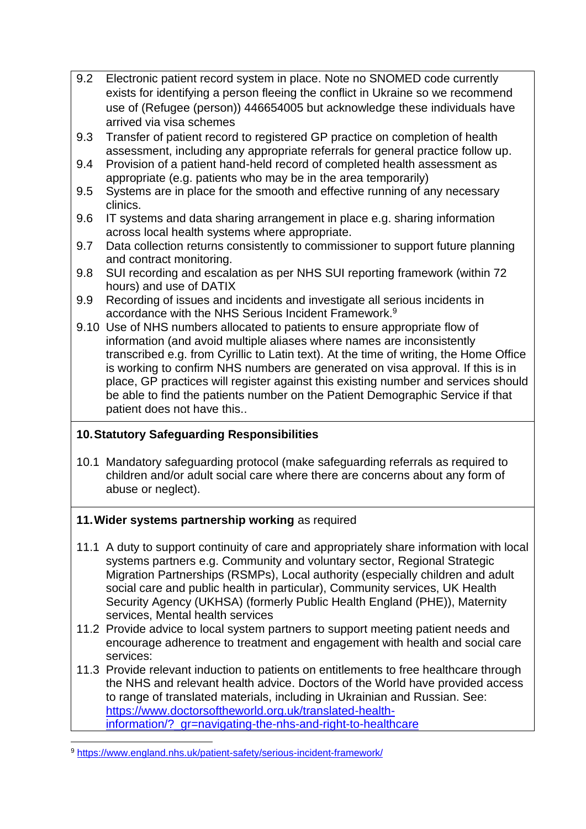- 9.2 Electronic patient record system in place. Note no SNOMED code currently exists for identifying a person fleeing the conflict in Ukraine so we recommend use of (Refugee (person)) 446654005 but acknowledge these individuals have arrived via visa schemes
- 9.3 Transfer of patient record to registered GP practice on completion of health assessment, including any appropriate referrals for general practice follow up.
- 9.4 Provision of a patient hand-held record of completed health assessment as appropriate (e.g. patients who may be in the area temporarily)
- 9.5 Systems are in place for the smooth and effective running of any necessary clinics.
- 9.6 IT systems and data sharing arrangement in place e.g. sharing information across local health systems where appropriate.
- 9.7 Data collection returns consistently to commissioner to support future planning and contract monitoring.
- 9.8 SUI recording and escalation as per NHS SUI reporting framework (within 72 hours) and use of DATIX
- 9.9 Recording of issues and incidents and investigate all serious incidents in accordance with the [NHS Serious Incident Framework.](https://www.england.nhs.uk/patient-safety/serious-incident-framework/)<sup>9</sup>
- 9.10 Use of NHS numbers allocated to patients to ensure appropriate flow of information (and avoid multiple aliases where names are inconsistently transcribed e.g. from Cyrillic to Latin text). At the time of writing, the Home Office is working to confirm NHS numbers are generated on visa approval. If this is in place, GP practices will register against this existing number and services should be able to find the patients number on the Patient Demographic Service if that patient does not have this..

# **10.Statutory Safeguarding Responsibilities**

10.1 Mandatory safeguarding protocol (make safeguarding referrals as required to children and/or adult social care where there are concerns about any form of abuse or neglect).

# **11.Wider systems partnership working** as required

- 11.1 A duty to support continuity of care and appropriately share information with local systems partners e.g. Community and voluntary sector, Regional Strategic Migration Partnerships (RSMPs), Local authority (especially children and adult social care and public health in particular), Community services, UK Health Security Agency (UKHSA) (formerly Public Health England (PHE)), Maternity services, Mental health services
- 11.2 Provide advice to local system partners to support meeting patient needs and encourage adherence to treatment and engagement with health and social care services:
- 11.3 Provide relevant induction to patients on entitlements to free healthcare through the NHS and relevant health advice. Doctors of the World have provided access to range of translated materials, including in Ukrainian and Russian. See: [https://www.doctorsoftheworld.org.uk/translated-health](https://www.doctorsoftheworld.org.uk/translated-health-information/?_gr=navigating-the-nhs-and-right-to-healthcare)[information/?\\_gr=navigating-the-nhs-and-right-to-healthcare](https://www.doctorsoftheworld.org.uk/translated-health-information/?_gr=navigating-the-nhs-and-right-to-healthcare)

<sup>9</sup> <https://www.england.nhs.uk/patient-safety/serious-incident-framework/>